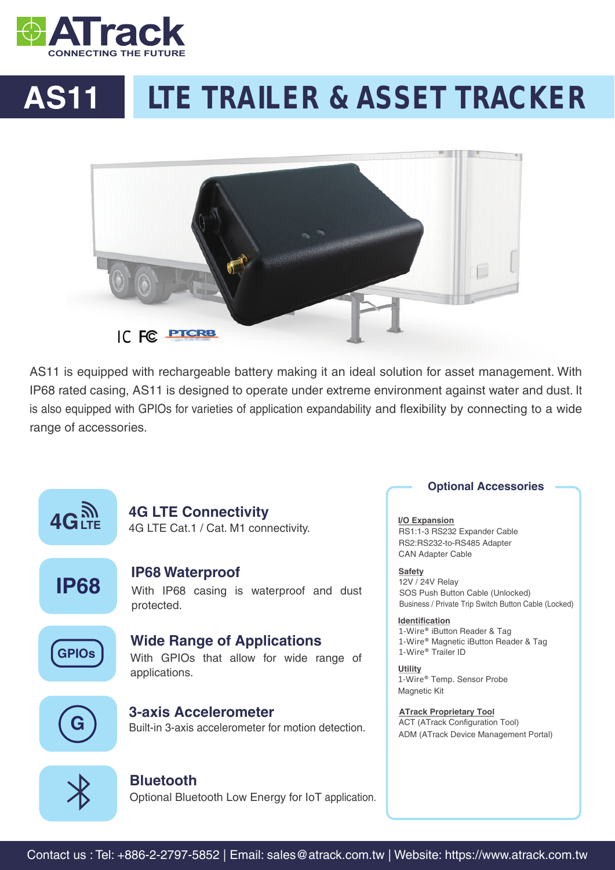

# **AS11 LTE TRAILER & ASSET TRACKER**



AS11 is equipped with rechargeable battery making it an ideal solution for asset management. With IP68 rated casing, AS11 is designed to operate under extreme environment against water and dust. It is also equipped with GPIOs for varieties of application expandability and flexibility by connecting to a wide range of accessories.



### **Optional Accessories**

**I/O Expansion** RS1:1-3 RS232 Expander Cable RS2:RS232-to-RS485 Adapter CAN Adapter Cable

12V / 24V Relay SOS Push Button Cable (Unlocked) Business / Private Trip Switch Button Cable (Locked) **Safety** 

**Identification** 1-Wire® iButton Reader & Tag 1-Wire® Magnetic iButton Reader & Tag 1-Wire® Trailer ID

1-Wire® Temp. Sensor Probe Magnetic Kit **Utility**

**ATrack Proprietary Tool ATrack Proprietary Tool** ACT (ATrack Configuration Tool) ADM (ATrack Device Management Portal)